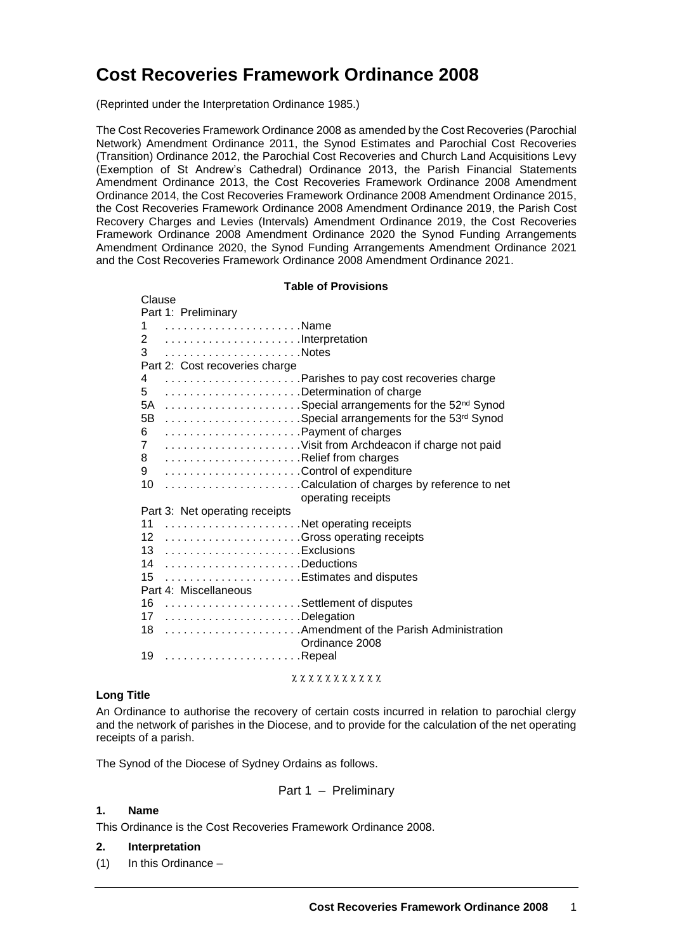# **Cost Recoveries Framework Ordinance 2008**

(Reprinted under the Interpretation Ordinance 1985.)

The Cost Recoveries Framework Ordinance 2008 as amended by the Cost Recoveries (Parochial Network) Amendment Ordinance 2011, the Synod Estimates and Parochial Cost Recoveries (Transition) Ordinance 2012, the Parochial Cost Recoveries and Church Land Acquisitions Levy (Exemption of St Andrew's Cathedral) Ordinance 2013, the Parish Financial Statements Amendment Ordinance 2013, the Cost Recoveries Framework Ordinance 2008 Amendment Ordinance 2014, the Cost Recoveries Framework Ordinance 2008 Amendment Ordinance 2015, the Cost Recoveries Framework Ordinance 2008 Amendment Ordinance 2019, the Parish Cost Recovery Charges and Levies (Intervals) Amendment Ordinance 2019, the Cost Recoveries Framework Ordinance 2008 Amendment Ordinance 2020 the Synod Funding Arrangements Amendment Ordinance 2020, the Synod Funding Arrangements Amendment Ordinance 2021 and the Cost Recoveries Framework Ordinance 2008 Amendment Ordinance 2021.

#### **Table of Provisions**

| Clause                         |  |                                |                                                        |
|--------------------------------|--|--------------------------------|--------------------------------------------------------|
|                                |  | Part 1: Preliminary            |                                                        |
|                                |  | 1 Name                         |                                                        |
|                                |  | 2 Interpretation               |                                                        |
|                                |  |                                |                                                        |
|                                |  | Part 2: Cost recoveries charge |                                                        |
| 4                              |  |                                | Parishes to pay cost recoveries charge                 |
| 5                              |  |                                | Determination of charge                                |
|                                |  |                                | 5A Special arrangements for the 52 <sup>nd</sup> Synod |
| 5В                             |  |                                | Special arrangements for the 53rd Synod                |
|                                |  | 6 Payment of charges           |                                                        |
| $\overline{7}$                 |  |                                | Visit from Archdeacon if charge not paid               |
| 8                              |  | Relief from charges            |                                                        |
| 9                              |  | Control of expenditure         |                                                        |
| 10                             |  |                                | Calculation of charges by reference to net             |
|                                |  |                                | operating receipts                                     |
| Part 3: Net operating receipts |  |                                |                                                        |
|                                |  | 11 Net operating receipts      |                                                        |
|                                |  |                                | 12 Gross operating receipts                            |
|                                |  | 13 Exclusions                  |                                                        |
|                                |  | 14 Deductions                  |                                                        |
| 15                             |  | Estimates and disputes         |                                                        |
|                                |  | Part 4: Miscellaneous          |                                                        |
|                                |  | 16 Settlement of disputes      |                                                        |
|                                |  | 17 Delegation                  |                                                        |
|                                |  |                                | 18  Amendment of the Parish Administration             |
|                                |  |                                | Ordinance 2008                                         |
|                                |  | 19 Repeal                      |                                                        |
|                                |  |                                |                                                        |

 $x x x x x x x x x x x x x$ 

#### **Long Title**

An Ordinance to authorise the recovery of certain costs incurred in relation to parochial clergy and the network of parishes in the Diocese, and to provide for the calculation of the net operating receipts of a parish.

The Synod of the Diocese of Sydney Ordains as follows.

Part 
$$
1 -
$$
 Preliminary

#### **1. Name**

This Ordinance is the Cost Recoveries Framework Ordinance 2008.

#### **2. Interpretation**

(1) In this Ordinance –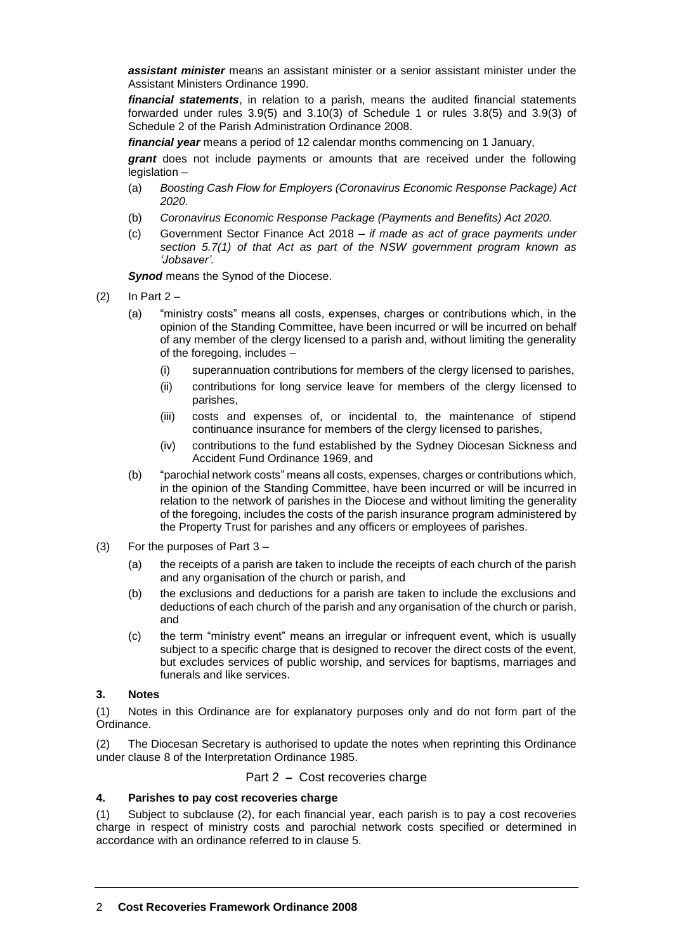*assistant minister* means an assistant minister or a senior assistant minister under the Assistant Ministers Ordinance 1990.

*financial statements*, in relation to a parish, means the audited financial statements forwarded under rules 3.9(5) and 3.10(3) of Schedule 1 or rules 3.8(5) and 3.9(3) of Schedule 2 of the Parish Administration Ordinance 2008.

*financial year* means a period of 12 calendar months commencing on 1 January,

*grant* does not include payments or amounts that are received under the following legislation –

- (a) *Boosting Cash Flow for Employers (Coronavirus Economic Response Package) Act 2020.*
- (b) *Coronavirus Economic Response Package (Payments and Benefits) Act 2020.*
- (c) Government Sector Finance Act 2018 *– if made as act of grace payments under section 5.7(1) of that Act as part of the NSW government program known as 'Jobsaver'.*

**Synod** means the Synod of the Diocese.

- $(2)$  In Part 2
	- (a) "ministry costs" means all costs, expenses, charges or contributions which, in the opinion of the Standing Committee, have been incurred or will be incurred on behalf of any member of the clergy licensed to a parish and, without limiting the generality of the foregoing, includes –
		- (i) superannuation contributions for members of the clergy licensed to parishes,
		- (ii) contributions for long service leave for members of the clergy licensed to parishes,
		- (iii) costs and expenses of, or incidental to, the maintenance of stipend continuance insurance for members of the clergy licensed to parishes,
		- (iv) contributions to the fund established by the Sydney Diocesan Sickness and Accident Fund Ordinance 1969, and
	- (b) "parochial network costs" means all costs, expenses, charges or contributions which, in the opinion of the Standing Committee, have been incurred or will be incurred in relation to the network of parishes in the Diocese and without limiting the generality of the foregoing, includes the costs of the parish insurance program administered by the Property Trust for parishes and any officers or employees of parishes.
- (3) For the purposes of Part 3
	- (a) the receipts of a parish are taken to include the receipts of each church of the parish and any organisation of the church or parish, and
	- (b) the exclusions and deductions for a parish are taken to include the exclusions and deductions of each church of the parish and any organisation of the church or parish, and
	- (c) the term "ministry event" means an irregular or infrequent event, which is usually subject to a specific charge that is designed to recover the direct costs of the event, but excludes services of public worship, and services for baptisms, marriages and funerals and like services.

## **3. Notes**

(1) Notes in this Ordinance are for explanatory purposes only and do not form part of the Ordinance.

(2) The Diocesan Secretary is authorised to update the notes when reprinting this Ordinance under clause 8 of the Interpretation Ordinance 1985.

## Part 2 **–** Cost recoveries charge

# **4. Parishes to pay cost recoveries charge**

(1) Subject to subclause (2), for each financial year, each parish is to pay a cost recoveries charge in respect of ministry costs and parochial network costs specified or determined in accordance with an ordinance referred to in clause 5.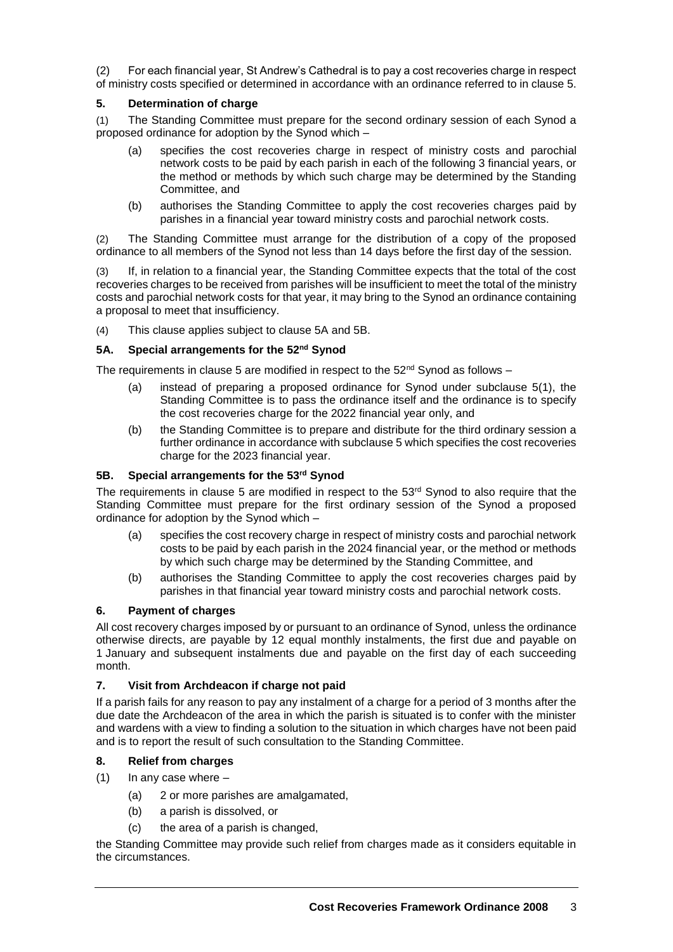(2) For each financial year, St Andrew's Cathedral is to pay a cost recoveries charge in respect of ministry costs specified or determined in accordance with an ordinance referred to in clause 5.

# **5. Determination of charge**

(1) The Standing Committee must prepare for the second ordinary session of each Synod a proposed ordinance for adoption by the Synod which –

- (a) specifies the cost recoveries charge in respect of ministry costs and parochial network costs to be paid by each parish in each of the following 3 financial years, or the method or methods by which such charge may be determined by the Standing Committee, and
- (b) authorises the Standing Committee to apply the cost recoveries charges paid by parishes in a financial year toward ministry costs and parochial network costs.

(2) The Standing Committee must arrange for the distribution of a copy of the proposed ordinance to all members of the Synod not less than 14 days before the first day of the session.

(3) If, in relation to a financial year, the Standing Committee expects that the total of the cost recoveries charges to be received from parishes will be insufficient to meet the total of the ministry costs and parochial network costs for that year, it may bring to the Synod an ordinance containing a proposal to meet that insufficiency.

(4) This clause applies subject to clause 5A and 5B.

## **5A. Special arrangements for the 52nd Synod**

The requirements in clause 5 are modified in respect to the  $52^{nd}$  Synod as follows –

- (a) instead of preparing a proposed ordinance for Synod under subclause 5(1), the Standing Committee is to pass the ordinance itself and the ordinance is to specify the cost recoveries charge for the 2022 financial year only, and
- (b) the Standing Committee is to prepare and distribute for the third ordinary session a further ordinance in accordance with subclause 5 which specifies the cost recoveries charge for the 2023 financial year.

# **5B. Special arrangements for the 53rd Synod**

The requirements in clause 5 are modified in respect to the 53rd Synod to also require that the Standing Committee must prepare for the first ordinary session of the Synod a proposed ordinance for adoption by the Synod which –

- (a) specifies the cost recovery charge in respect of ministry costs and parochial network costs to be paid by each parish in the 2024 financial year, or the method or methods by which such charge may be determined by the Standing Committee, and
- (b) authorises the Standing Committee to apply the cost recoveries charges paid by parishes in that financial year toward ministry costs and parochial network costs.

## **6. Payment of charges**

All cost recovery charges imposed by or pursuant to an ordinance of Synod, unless the ordinance otherwise directs, are payable by 12 equal monthly instalments, the first due and payable on 1 January and subsequent instalments due and payable on the first day of each succeeding month.

## **7. Visit from Archdeacon if charge not paid**

If a parish fails for any reason to pay any instalment of a charge for a period of 3 months after the due date the Archdeacon of the area in which the parish is situated is to confer with the minister and wardens with a view to finding a solution to the situation in which charges have not been paid and is to report the result of such consultation to the Standing Committee.

## **8. Relief from charges**

- $(1)$  In any case where  $-$ 
	- (a) 2 or more parishes are amalgamated,
	- (b) a parish is dissolved, or
	- (c) the area of a parish is changed,

the Standing Committee may provide such relief from charges made as it considers equitable in the circumstances.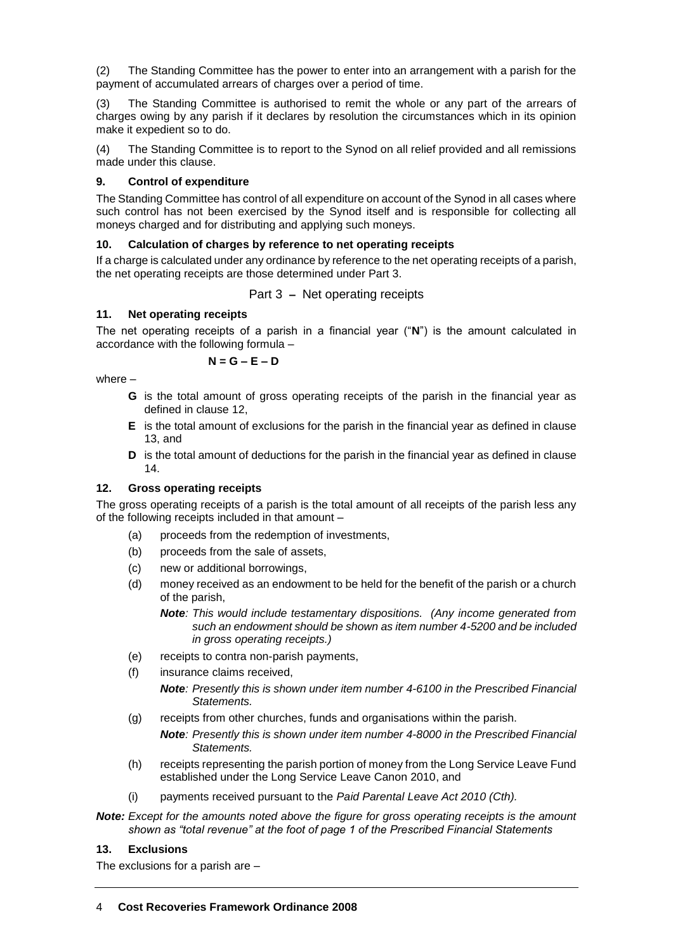(2) The Standing Committee has the power to enter into an arrangement with a parish for the payment of accumulated arrears of charges over a period of time.

(3) The Standing Committee is authorised to remit the whole or any part of the arrears of charges owing by any parish if it declares by resolution the circumstances which in its opinion make it expedient so to do.

(4) The Standing Committee is to report to the Synod on all relief provided and all remissions made under this clause.

# **9. Control of expenditure**

The Standing Committee has control of all expenditure on account of the Synod in all cases where such control has not been exercised by the Synod itself and is responsible for collecting all moneys charged and for distributing and applying such moneys.

# **10. Calculation of charges by reference to net operating receipts**

If a charge is calculated under any ordinance by reference to the net operating receipts of a parish, the net operating receipts are those determined under Part 3.

Part 3 **–** Net operating receipts

# **11. Net operating receipts**

The net operating receipts of a parish in a financial year ("**N**") is the amount calculated in accordance with the following formula –

$$
N=G-E-D
$$

where –

- **G** is the total amount of gross operating receipts of the parish in the financial year as defined in clause 12,
- **E** is the total amount of exclusions for the parish in the financial year as defined in clause 13, and
- **D** is the total amount of deductions for the parish in the financial year as defined in clause 14.

## **12. Gross operating receipts**

The gross operating receipts of a parish is the total amount of all receipts of the parish less any of the following receipts included in that amount –

- (a) proceeds from the redemption of investments,
- (b) proceeds from the sale of assets,
- (c) new or additional borrowings,
- (d) money received as an endowment to be held for the benefit of the parish or a church of the parish,
	- *Note: This would include testamentary dispositions. (Any income generated from such an endowment should be shown as item number 4-5200 and be included in gross operating receipts.)*
- (e) receipts to contra non-parish payments,
- (f) insurance claims received,
	- *Note: Presently this is shown under item number 4-6100 in the Prescribed Financial Statements.*
- (g) receipts from other churches, funds and organisations within the parish.
	- *Note: Presently this is shown under item number 4-8000 in the Prescribed Financial Statements.*
- (h) receipts representing the parish portion of money from the Long Service Leave Fund established under the Long Service Leave Canon 2010, and
- (i) payments received pursuant to the *Paid Parental Leave Act 2010 (Cth).*

*Note: Except for the amounts noted above the figure for gross operating receipts is the amount shown as "total revenue" at the foot of page 1 of the Prescribed Financial Statements*

## **13. Exclusions**

The exclusions for a parish are –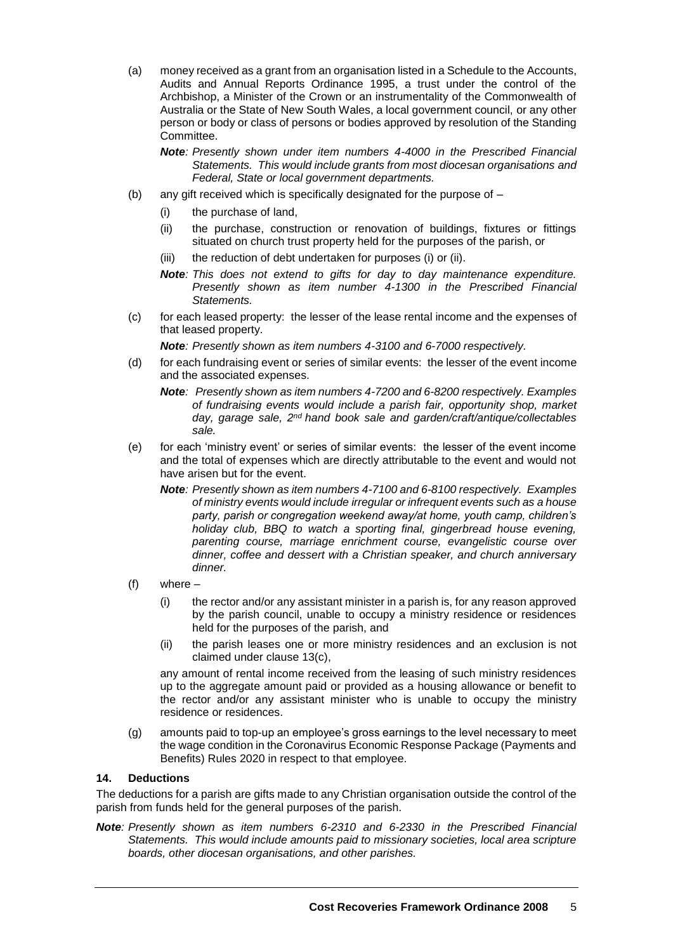(a) money received as a grant from an organisation listed in a Schedule to the Accounts, Audits and Annual Reports Ordinance 1995, a trust under the control of the Archbishop, a Minister of the Crown or an instrumentality of the Commonwealth of Australia or the State of New South Wales, a local government council, or any other person or body or class of persons or bodies approved by resolution of the Standing Committee.

*Note: Presently shown under item numbers 4-4000 in the Prescribed Financial Statements. This would include grants from most diocesan organisations and Federal, State or local government departments.*

- (b) any gift received which is specifically designated for the purpose of  $-$ 
	- (i) the purchase of land,
	- (ii) the purchase, construction or renovation of buildings, fixtures or fittings situated on church trust property held for the purposes of the parish, or
	- (iii) the reduction of debt undertaken for purposes (i) or (ii).
	- *Note: This does not extend to gifts for day to day maintenance expenditure. Presently shown as item number 4-1300 in the Prescribed Financial Statements.*
- (c) for each leased property: the lesser of the lease rental income and the expenses of that leased property.

*Note: Presently shown as item numbers 4-3100 and 6-7000 respectively.*

- (d) for each fundraising event or series of similar events: the lesser of the event income and the associated expenses.
	- *Note: Presently shown as item numbers 4-7200 and 6-8200 respectively. Examples of fundraising events would include a parish fair, opportunity shop, market day, garage sale, 2nd hand book sale and garden/craft/antique/collectables sale.*
- (e) for each 'ministry event' or series of similar events: the lesser of the event income and the total of expenses which are directly attributable to the event and would not have arisen but for the event.
	- *Note: Presently shown as item numbers 4-7100 and 6-8100 respectively. Examples of ministry events would include irregular or infrequent events such as a house party, parish or congregation weekend away/at home, youth camp, children's holiday club, BBQ to watch a sporting final, gingerbread house evening, parenting course, marriage enrichment course, evangelistic course over dinner, coffee and dessert with a Christian speaker, and church anniversary dinner.*
- (f) where
	- (i) the rector and/or any assistant minister in a parish is, for any reason approved by the parish council, unable to occupy a ministry residence or residences held for the purposes of the parish, and
	- (ii) the parish leases one or more ministry residences and an exclusion is not claimed under clause 13(c),

any amount of rental income received from the leasing of such ministry residences up to the aggregate amount paid or provided as a housing allowance or benefit to the rector and/or any assistant minister who is unable to occupy the ministry residence or residences.

(g) amounts paid to top-up an employee's gross earnings to the level necessary to meet the wage condition in the Coronavirus Economic Response Package (Payments and Benefits) Rules 2020 in respect to that employee.

#### **14. Deductions**

The deductions for a parish are gifts made to any Christian organisation outside the control of the parish from funds held for the general purposes of the parish.

*Note: Presently shown as item numbers 6-2310 and 6-2330 in the Prescribed Financial Statements. This would include amounts paid to missionary societies, local area scripture boards, other diocesan organisations, and other parishes.*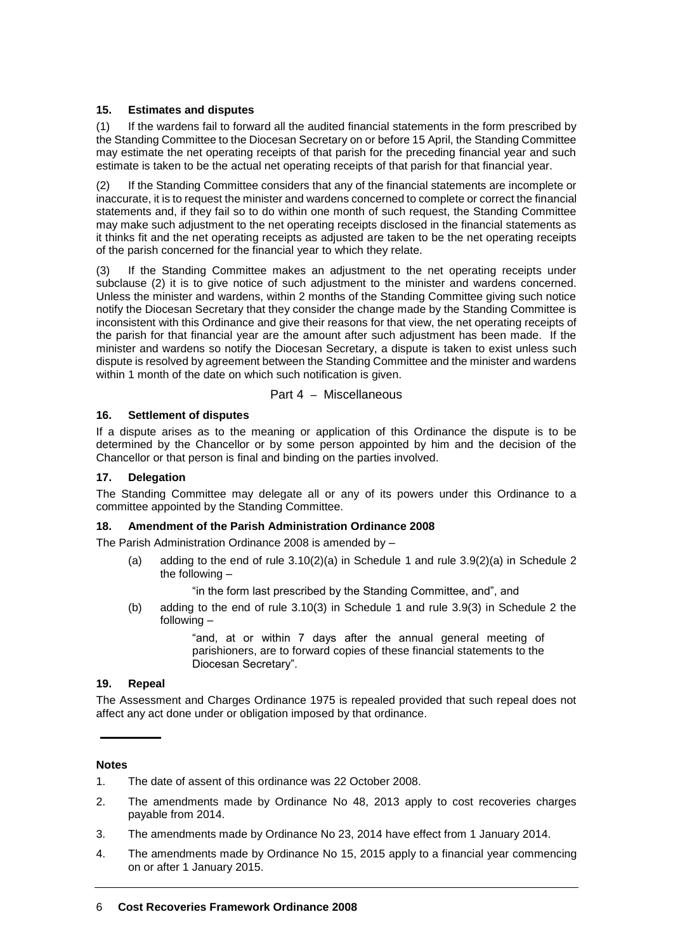# **15. Estimates and disputes**

(1) If the wardens fail to forward all the audited financial statements in the form prescribed by the Standing Committee to the Diocesan Secretary on or before 15 April, the Standing Committee may estimate the net operating receipts of that parish for the preceding financial year and such estimate is taken to be the actual net operating receipts of that parish for that financial year.

(2) If the Standing Committee considers that any of the financial statements are incomplete or inaccurate, it is to request the minister and wardens concerned to complete or correct the financial statements and, if they fail so to do within one month of such request, the Standing Committee may make such adjustment to the net operating receipts disclosed in the financial statements as it thinks fit and the net operating receipts as adjusted are taken to be the net operating receipts of the parish concerned for the financial year to which they relate.

(3) If the Standing Committee makes an adjustment to the net operating receipts under subclause (2) it is to give notice of such adjustment to the minister and wardens concerned. Unless the minister and wardens, within 2 months of the Standing Committee giving such notice notify the Diocesan Secretary that they consider the change made by the Standing Committee is inconsistent with this Ordinance and give their reasons for that view, the net operating receipts of the parish for that financial year are the amount after such adjustment has been made. If the minister and wardens so notify the Diocesan Secretary, a dispute is taken to exist unless such dispute is resolved by agreement between the Standing Committee and the minister and wardens within 1 month of the date on which such notification is given.

# Part 4 – Miscellaneous

# **16. Settlement of disputes**

If a dispute arises as to the meaning or application of this Ordinance the dispute is to be determined by the Chancellor or by some person appointed by him and the decision of the Chancellor or that person is final and binding on the parties involved.

# **17. Delegation**

The Standing Committee may delegate all or any of its powers under this Ordinance to a committee appointed by the Standing Committee.

## **18. Amendment of the Parish Administration Ordinance 2008**

The Parish Administration Ordinance 2008 is amended by –

(a) adding to the end of rule  $3.10(2)(a)$  in Schedule 1 and rule  $3.9(2)(a)$  in Schedule 2 the following –

"in the form last prescribed by the Standing Committee, and", and

(b) adding to the end of rule 3.10(3) in Schedule 1 and rule 3.9(3) in Schedule 2 the following –

> "and, at or within 7 days after the annual general meeting of parishioners, are to forward copies of these financial statements to the Diocesan Secretary".

## **19. Repeal**

The Assessment and Charges Ordinance 1975 is repealed provided that such repeal does not affect any act done under or obligation imposed by that ordinance.

## **Notes**

- 1. The date of assent of this ordinance was 22 October 2008.
- 2. The amendments made by Ordinance No 48, 2013 apply to cost recoveries charges payable from 2014.
- 3. The amendments made by Ordinance No 23, 2014 have effect from 1 January 2014.
- 4. The amendments made by Ordinance No 15, 2015 apply to a financial year commencing on or after 1 January 2015.